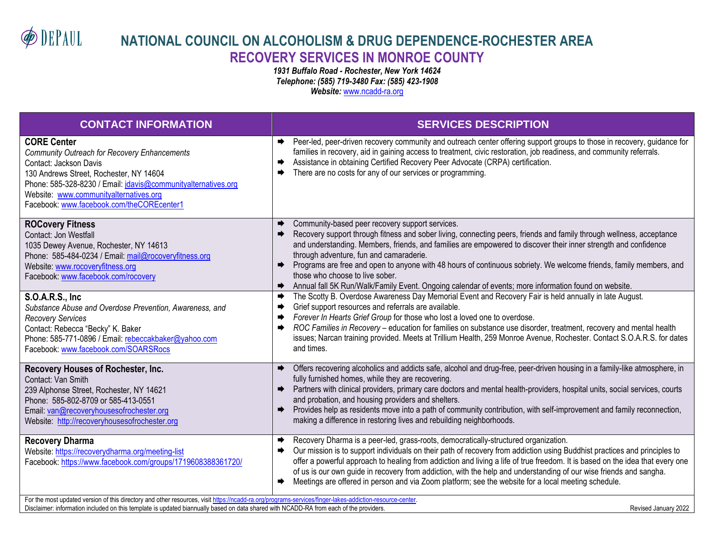**DEPAUL** 

## **NATIONAL COUNCIL ON ALCOHOLISM & DRUG DEPENDENCE-ROCHESTER AREA RECOVERY SERVICES IN MONROE COUNTY**

*1931 Buffalo Road - Rochester, New York 14624 Telephone: (585) 719-3480 Fax: (585) 423-1908 Website:* [www.ncadd-ra.org](http://www.ncadd-ra.org/)

| <b>CONTACT INFORMATION</b>                                                                                                                                                                                                                                                                            | <b>SERVICES DESCRIPTION</b>                                                                                                                                                                                                                                                                                                                                                                                                                                                                                                                                                                                             |
|-------------------------------------------------------------------------------------------------------------------------------------------------------------------------------------------------------------------------------------------------------------------------------------------------------|-------------------------------------------------------------------------------------------------------------------------------------------------------------------------------------------------------------------------------------------------------------------------------------------------------------------------------------------------------------------------------------------------------------------------------------------------------------------------------------------------------------------------------------------------------------------------------------------------------------------------|
| <b>CORE Center</b><br>Community Outreach for Recovery Enhancements<br>Contact: Jackson Davis<br>130 Andrews Street, Rochester, NY 14604<br>Phone: 585-328-8230 / Email: jdavis@communityalternatives.org<br>Website: www.communityalternatives.org<br>Facebook: www.facebook.com/theCOREcenter1       | → Peer-led, peer-driven recovery community and outreach center offering support groups to those in recovery, guidance for<br>families in recovery, aid in gaining access to treatment, civic restoration, job readiness, and community referrals.<br>Assistance in obtaining Certified Recovery Peer Advocate (CRPA) certification.<br>➡<br>There are no costs for any of our services or programming.<br>➡                                                                                                                                                                                                             |
| <b>ROCovery Fitness</b><br>Contact: Jon Westfall<br>1035 Dewey Avenue, Rochester, NY 14613<br>Phone: 585-484-0234 / Email: mail@rocoveryfitness.org<br>Website: www.rocoveryfitness.org<br>Facebook: www.facebook.com/rocovery                                                                        | Community-based peer recovery support services.<br>Recovery support through fitness and sober living, connecting peers, friends and family through wellness, acceptance<br>and understanding. Members, friends, and families are empowered to discover their inner strength and confidence<br>through adventure, fun and camaraderie.<br>Programs are free and open to anyone with 48 hours of continuous sobriety. We welcome friends, family members, and<br>those who choose to live sober.<br>Annual fall 5K Run/Walk/Family Event. Ongoing calendar of events; more information found on website.                  |
| <b>S.O.A.R.S., Inc.</b><br>Substance Abuse and Overdose Prevention, Awareness, and<br><b>Recovery Services</b><br>Contact: Rebecca "Becky" K. Baker<br>Phone: 585-771-0896 / Email: rebeccakbaker@yahoo.com<br>Facebook: www.facebook.com/SOARSRocs                                                   | The Scotty B. Overdose Awareness Day Memorial Event and Recovery Fair is held annually in late August.<br>Grief support resources and referrals are available.<br>Forever In Hearts Grief Group for those who lost a loved one to overdose.<br>ROC Families in Recovery - education for families on substance use disorder, treatment, recovery and mental health<br>issues; Narcan training provided. Meets at Trillium Health, 259 Monroe Avenue, Rochester. Contact S.O.A.R.S. for dates<br>and times.                                                                                                               |
| Recovery Houses of Rochester, Inc.<br>Contact: Van Smith<br>239 Alphonse Street, Rochester, NY 14621<br>Phone: 585-802-8709 or 585-413-0551<br>Email: van@recoveryhousesofrochester.org<br>Website: http://recoveryhousesofrochester.org                                                              | Offers recovering alcoholics and addicts safe, alcohol and drug-free, peer-driven housing in a family-like atmosphere, in<br>$\rightarrow$<br>fully furnished homes, while they are recovering.<br>Partners with clinical providers, primary care doctors and mental health-providers, hospital units, social services, courts<br>$\Rightarrow$<br>and probation, and housing providers and shelters.<br>Provides help as residents move into a path of community contribution, with self-improvement and family reconnection,<br>$\Rightarrow$<br>making a difference in restoring lives and rebuilding neighborhoods. |
| <b>Recovery Dharma</b><br>Website: https://recoverydharma.org/meeting-list<br>Facebook: https://www.facebook.com/groups/1719608388361720/<br>For the most updated version of this directory and other resources, visit https://ncadd-ra.org/programs-services/finger-lakes-addiction-resource-center. | Recovery Dharma is a peer-led, grass-roots, democratically-structured organization.<br>∙<br>Our mission is to support individuals on their path of recovery from addiction using Buddhist practices and principles to<br>offer a powerful approach to healing from addiction and living a life of true freedom. It is based on the idea that every one<br>of us is our own guide in recovery from addiction, with the help and understanding of our wise friends and sangha.<br>Meetings are offered in person and via Zoom platform; see the website for a local meeting schedule.                                     |

Disclaimer: information included on this template is updated biannually based on data shared with NCADD-RA from each of the providers. The mass of the providers and the state of the providers and the providers. This conten